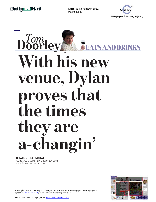**Page** 32,33

 $\overline{a}$ 



## **Doorleys FEATS AND DRINKS**<br>With his new **venue, Dylan** proves that the times they are a-changin' **FADE STREET SOCIAL**<br>de Street, Dublin 2 Phone: 01 604 0066<br>ww.fadestreetsocial.com

 $\blacksquare$  **FADE STREET SOCIAL** Fade Street, Dublin 2 Phone: 01 604 0066 www.fadestreetsocial.com



Copyright material. This may only be copied under the terms of a Newspaper Licensing Agency agreement (www.nla.co.uk) or with written publisher permission.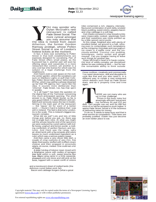

**You may wonder why Dylan McGrath's new rest aurant is called Fade Street Social. The more cynical amongst you may assume that the idea is nicked from Jason Atherton, the former Gordon Ramsay protégé, whose Pollen Street S** OU may wonder why<br>Dylan McGrath's new rest aurant is called Fade Street Social. The more cynical amongst you may assume that t he idea is nicked from Jason Atherton, the former Gordon Ramsay protégé, whose Pollen Street Social is one of London's

hottest tickets at the moment. In fact, it does owe something to Pollen Street in that both establishments are expressly designed for socialising. Part of Fade Street offers small plates, as the buzzword has it, another part will soon be offering stews and casseroles in a more restaurant-like context, yet another is a very cool bar (the licence for which was the subject of a legal challenge from the neighbours).

And there's even a vast space on the roof, the winter garden, where the socialisers can suck on Marlboro Lights or puff their Cohibas. Pollen Street talks about 'deformalised dining', which may well be a phrase dreamed up by their PR agency, but I quite like the idea. It sounds more deliberate than 'informal'. Fade Street, too, has that spirit in spades.

'Is it all hype?' has been the question on the digital lips of the Twitterati concerning this much-anticipated opening. The short answer is no. Fade Street Social, so far, is very good indeed. It's also different and confident and seriously raises the bar in Dublin. Sitting in the main part of the restaurant — the 'tapas' bit for want of a better word — I found it hard to believe that I was still in Ireland. The feel is distinctly London. As is the scale. This is Ireland's biggest restaurant complex.

What did we eat? Lots and lots of little things and, before you ask, no, there was not a single bum note. At what you might call the amuse bouche end of the spectrum we were seduced by cured salmon with truffle honey, yoghurt and lemon purée: a melt-ing confection of perfect flavours and textures. And there was the tangy, salty air-dried lamb with a fig compote and celery leaves (a much underused ingredient as a rule) which was a serious palate teaser.

And then came a very clever little dish: a couple of crisp cushions of very thin, fine deep-fried pastry stuffed with truffled cream cheese and then wrapped in prosciutto which, of course, melted. One could eat a lot

A mini-hotdog of lobster meat mixed with a béarnaise sauce with oodles of tarragon was held within a soft, sweet brioche-like bun. Skate wing came in a little casserole, steamed until just done and still pink at the bone, topped with a sweet confit of onions

and a translucent sheet of melted lardo (the delicious cured Italian pork fat). Bacon and cabbage burgers (what a great  $\mathbf{y}$ , intensely-dependent points of  $\mathbf{y}$ 

title) comprised a rich, slippery, intenselyflavoured combination of pork belly, smoked black pudding, sweet onions, peppery bacon and crisp cabbage in a soft bap.

 $\overline{a}$ 

Cod cheeks encased in crisp breadcrumbs were impeccably cooked, spankingly fresh and their sweetness was nicely pointed up by a little spiced carrot purée.

At this stage, freighted also with plenty of excellent bread, we ground to a halt, refusing even to contemplate such temptations as the intriguing 'chocolate and rose yoghurt ice cream in a waffle cone' and the lus-ciously-entitled 'Coconut rice pudding, lemongrass, melon sorbet and ginger mousse'. Can you imagine having to leave such things for another day.

Dylan McGrath's heart is in haute cuisine, the kind of wildly-complex yet disciplined dishes he was cooking at Mint — but he has the remarkable ability to think outside

those confines, creatively and commercially. You need cleverness, skill and discipline to cook like that and you also need it, in a different way, to create a vast restaurant which delivers such food as Fade Street does, and do it properly time and time again.

**THERE are not many who are up to that challenge.**<br>
Prices in this busy, noisy but<br>
amazingly-efficient restaurant<br>
run between  $\epsilon 4$  and  $\epsilon 12$  per<br>
dish. Two people can eat well for  $\epsilon 60$  but<br>
most of us will be temp HERE are not many who are<br>up to that challenge. Prices in this busy, noisy but amazingly-efficient restaurant run between  $\epsilon_4$  and  $\epsilon_{12}$  per

dish. Two people can eat well for  $\epsilon$ 60 but most of us will be tempted to push higher. It seems Fade Street Social is in the business

of delivering value for money. To do so, it needs to keep busy and that is what worries its competitors. Their fears are probably justified. Dublin has just become an even better place to eat.



Copyright material. This may only be copied under the terms of a Newspaper Licensing Agency agreement (www.nla.co.uk) or with written publisher permission.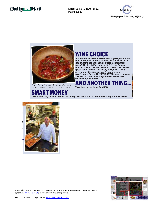



## **/INE CHOICE**

**ALL wines are available by the shot, glass, carafe and bottle. Hooray! And there's Prosecco for €36 and a good Champagne for €66 (is this the cheapest in town?) The lively Portuguese** *Quinta da Alorna*  **both white and red — at €1.85/€5.50/€12.50/€20 offers great value. We had the lovely pink, dry** *Tenuta Nicante* **for the same price.** *Avelina Vegas — Montespino Rueda* **€2/€6/€16.50/€28 is pure zing and zest and** *Finca Nueva Rioja Reserva* **is sound at €2.70/€8.10/€22.50/€36.**

 $\overline{a}$ 

*Simply delicious: Tuna and tomato ravioli shallot and tomato fondue*

**They do a hot whiskey for €4.50. D ANOTHER** 

**SMART MONEY**<br>THERE'S nothing unsmart about the food prices here but €4 seems a bit steep for a flat white.





Copyright material. This may only be copied under the terms of a Newspaper Licensing Agency agreement (www.nla.co.uk) or with written publisher permission.